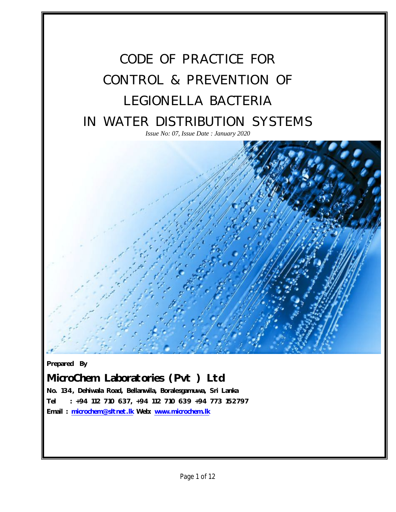

*Prepared By*

*Issue No: 07, Issue Date : JAN 2020*

*MicroChem Laboratories (Pvt ) Ltd*

*No. 134, Dehiwala Road, Bellanwila, Boralesgamuwa, Sri Lanka Tel : +94 112 710 637, +94 112 710 639 +94 773 152797 Email : microchem@sltnet.lk Web: www.microchem.lk*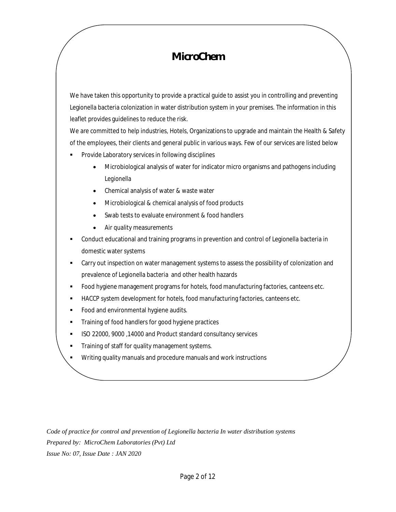# *MicroChem*

We have taken this opportunity to provide a practical guide to assist you in controlling and preventing Legionella bacteria colonization in water distribution system in your premises. The information in this leaflet provides guidelines to reduce the risk.

We are committed to help industries, Hotels, Organizations to upgrade and maintain the Health & Safety of the employees, their clients and general public in various ways. Few of our services are listed below

- Provide Laboratory services in following disciplines
	- Microbiological analysis of water for indicator micro organisms and pathogens including *Legionella*
	- Chemical analysis of water & waste water
	- Microbiological & chemical analysis of food products
	- Swab tests to evaluate environment & food handlers
	- Air quality measurements
- Conduct educational and training programs in prevention and control of Legionella bacteria in domestic water systems
- Carry out inspection on water management systems to assess the possibility of colonization and prevalence of Legionella bacteria and other health hazards
- Food hygiene management programs for hotels, food manufacturing factories, canteens etc.
- HACCP system development for hotels, food manufacturing factories, canteens etc.
- **Food and environmental hygiene audits.**
- **Training of food handlers for good hygiene practices**
- ISO 22000, 9000, 14000 and Product standard consultancy services
- **Training of staff for quality management systems.**
- **Writing quality manuals and procedure manuals and work instructions**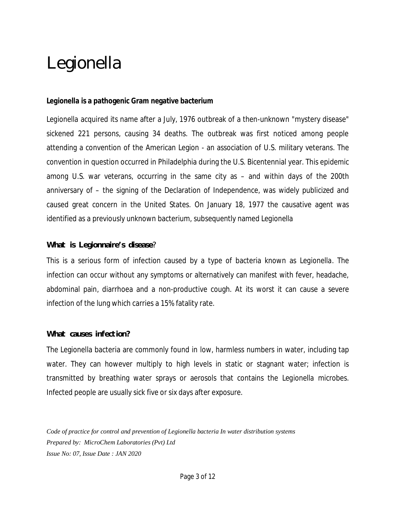# *Legionella*

#### *Legionella* **is a pathogenic Gram negative bacterium**

*Legionella* acquired its name after a July, 1976 outbreak of a then-unknown "mystery disease" sickened 221 persons, causing 34 deaths. The outbreak was first noticed among people attending a convention of the American Legion - an association of U.S. military veterans. The convention in question occurred in Philadelphia during the U.S. Bicentennial year. This epidemic among U.S. war veterans, occurring in the same city as – and within days of the 200th anniversary of – the signing of the Declaration of Independence, was widely publicized and caused great concern in the United States. On January 18, 1977 the causative agent was identified as a previously unknown bacterium, subsequently named *Legionella*

### *What is Legionnaire's disease?*

This is a serious form of infection caused by a type of bacteria known as *Legionella*. The infection can occur without any symptoms or alternatively can manifest with fever, headache, abdominal pain, diarrhoea and a non-productive cough. At its worst it can cause a severe infection of the lung which carries a 15% fatality rate.

#### *What causes infection?*

The Legionella bacteria are commonly found in low, harmless numbers in water, including tap water. They can however multiply to high levels in static or stagnant water; infection is transmitted by breathing water sprays or aerosols that contains the *Legionella* microbes. Infected people are usually sick five or six days after exposure.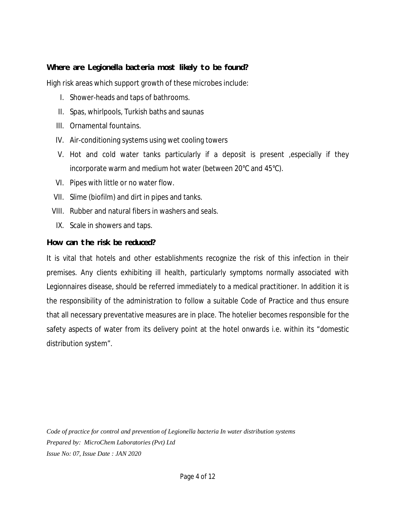## *Where are Legionella bacteria most likely to be found?*

High risk areas which support growth of these microbes include:

- I. Shower-heads and taps of bathrooms.
- II. Spas, whirlpools, Turkish baths and saunas
- III. Ornamental fountains.
- IV. Air-conditioning systems using wet cooling towers
- V. Hot and cold water tanks particularly if a deposit is present ,especially if they incorporate warm and medium hot water (between 20°C and 45°C).
- VI. Pipes with little or no water flow.
- VII. Slime (biofilm) and dirt in pipes and tanks.
- VIII. Rubber and natural fibers in washers and seals.
- IX. Scale in showers and taps.

#### *How can the risk be reduced?*

It is vital that hotels and other establishments recognize the risk of this infection in their premises. Any clients exhibiting ill health, particularly symptoms normally associated with Legionnaires disease, should be referred immediately to a medical practitioner. In addition it is the responsibility of the administration to follow a suitable Code of Practice and thus ensure that all necessary preventative measures are in place. The hotelier becomes responsible for the safety aspects of water from its delivery point at the hotel onwards i.e. within its "domestic distribution system".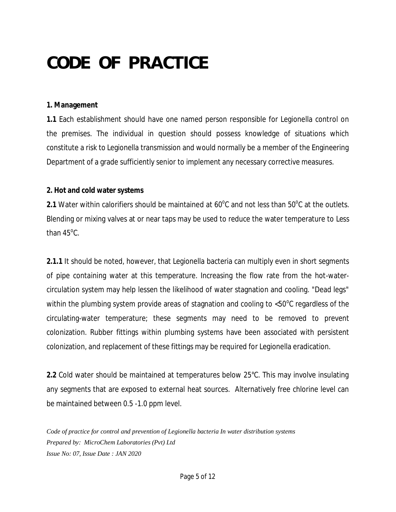# *CODE OF PRACTICE*

#### **1. Management**

**1.1** Each establishment should have one named person responsible for Legionella control on the premises. The individual in question should possess knowledge of situations which constitute a risk to Legionella transmission and would normally be a member of the Engineering Department of a grade sufficiently senior to implement any necessary corrective measures.

### **2. Hot and cold water systems**

**2.1** Water within calorifiers should be maintained at  $60^{\circ}$ C and not less than  $50^{\circ}$ C at the outlets. Blending or mixing valves at or near taps may be used to reduce the water temperature to Less than  $45^{\circ}$ C.

**2.1.1** It should be noted, however, that Legionella bacteria can multiply even in short segments of pipe containing water at this temperature. Increasing the flow rate from the hot-watercirculation system may help lessen the likelihood of water stagnation and cooling. "Dead legs" within the plumbing system provide areas of stagnation and cooling to  $<$ 50 $^{\circ}$ C regardless of the circulating-water temperature; these segments may need to be removed to prevent colonization. Rubber fittings within plumbing systems have been associated with persistent colonization, and replacement of these fittings may be required for Legionella eradication.

**2.2** Cold water should be maintained at temperatures below 25°C. This may involve insulating any segments that are exposed to external heat sources. Alternatively free chlorine level can be maintained between 0.5 -1.0 ppm level.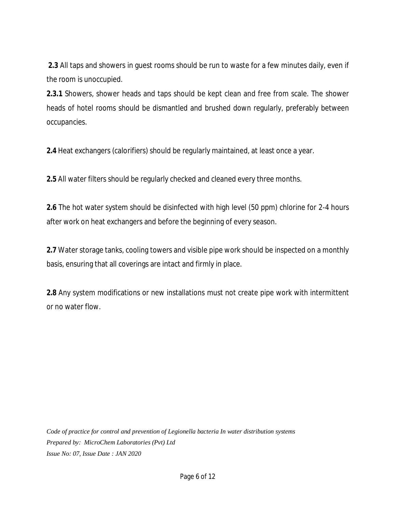**2.3** All taps and showers in guest rooms should be run to waste for a few minutes daily, even if the room is unoccupied.

**2.3.1** Showers, shower heads and taps should be kept clean and free from scale. The shower heads of hotel rooms should be dismantled and brushed down regularly, preferably between occupancies.

**2.4** Heat exchangers (calorifiers) should be regularly maintained, at least once a year.

**2.5** All water filters should be regularly checked and cleaned every three months.

**2.6** The hot water system should be disinfected with high level (50 ppm) chlorine for 2-4 hours after work on heat exchangers and before the beginning of every season.

**2.7** Water storage tanks, cooling towers and visible pipe work should be inspected on a monthly basis, ensuring that all coverings are intact and firmly in place.

**2.8** Any system modifications or new installations must not create pipe work with intermittent or no water flow.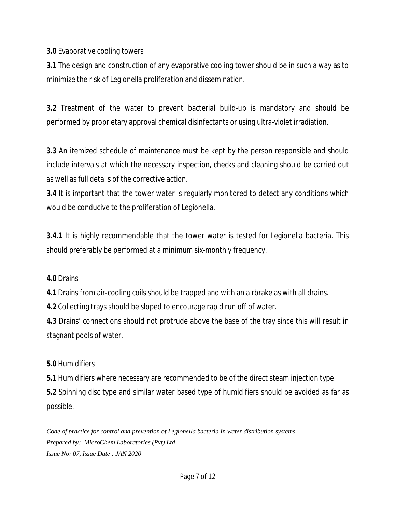**3.0** Evaporative cooling towers

**3.1** The design and construction of any evaporative cooling tower should be in such a way as to minimize the risk of Legionella proliferation and dissemination.

**3.2** Treatment of the water to prevent bacterial build-up is mandatory and should be performed by proprietary approval chemical disinfectants or using ultra-violet irradiation.

**3.3** An itemized schedule of maintenance must be kept by the person responsible and should include intervals at which the necessary inspection, checks and cleaning should be carried out as well as full details of the corrective action.

**3.4** It is important that the tower water is regularly monitored to detect any conditions which would be conducive to the proliferation of Legionella.

**3.4.1** It is highly recommendable that the tower water is tested for Legionella bacteria. This should preferably be performed at a minimum six-monthly frequency.

## **4.0** Drains

**4.1** Drains from air-cooling coils should be trapped and with an airbrake as with all drains.

**4.2** Collecting trays should be sloped to encourage rapid run off of water.

**4.3** Drains' connections should not protrude above the base of the tray since this will result in stagnant pools of water.

## **5.0** Humidifiers

**5.1** Humidifiers where necessary are recommended to be of the direct steam injection type. **5.2** Spinning disc type and similar water based type of humidifiers should be avoided as far as possible.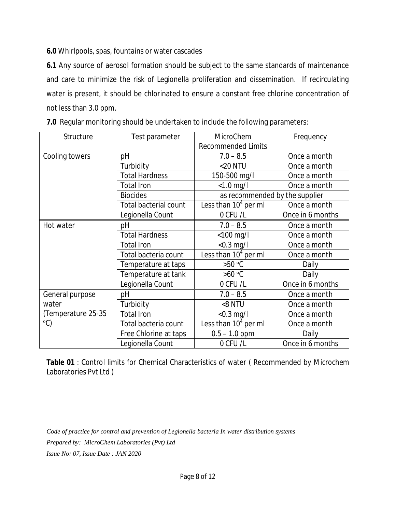**6.0** Whirlpools, spas, fountains or water cascades

**6.1** Any source of aerosol formation should be subject to the same standards of maintenance and care to minimize the risk of Legionella proliferation and dissemination. If recirculating water is present, it should be chlorinated to ensure a constant free chlorine concentration of not less than 3.0 ppm.

| Structure                                                      | Test parameter               | MicroChem                      | Frequency        |
|----------------------------------------------------------------|------------------------------|--------------------------------|------------------|
|                                                                |                              | <b>Recommended Limits</b>      |                  |
| Cooling towers                                                 | pH                           | $7.0 - 8.5$                    | Once a month     |
|                                                                | Turbidity                    | <20 NTU                        | Once a month     |
|                                                                | <b>Total Hardness</b>        | 150-500 mg/l                   | Once a month     |
|                                                                | <b>Total Iron</b>            | $< 1.0$ mg/l                   | Once a month     |
|                                                                | <b>Biocides</b>              | as recommended by the supplier |                  |
|                                                                | <b>Total bacterial count</b> | Less than $104$ per ml         | Once a month     |
|                                                                | Legionella Count             | 0 CFU /L                       | Once in 6 months |
| Hot water                                                      | pH                           | $7.0 - 8.5$                    | Once a month     |
|                                                                | <b>Total Hardness</b>        | $<$ 100 mg/l                   | Once a month     |
|                                                                | <b>Total Iron</b>            | $<$ 0.3 mg/l                   | Once a month     |
|                                                                | Total bacteria count         | Less than $104$ per ml         | Once a month     |
|                                                                | Temperature at taps          | $>50^{\circ}$ C                | Daily            |
|                                                                | Temperature at tank          | $>60^{\circ}$ C                | Daily            |
|                                                                | Legionella Count             | 0 CFU /L                       | Once in 6 months |
| General purpose<br>water<br>(Temperature 25-35<br>$\mathrm{C}$ | pH                           | $7.0 - 8.5$                    | Once a month     |
|                                                                | Turbidity                    | <8 NTU                         | Once a month     |
|                                                                | <b>Total Iron</b>            | $<$ 0.3 mg/l                   | Once a month     |
|                                                                | Total bacteria count         | Less than $104$ per ml         | Once a month     |
|                                                                | Free Chlorine at taps        | $0.5 - 1.0$ ppm                | Daily            |
|                                                                | Legionella Count             | 0 CFU/L                        | Once in 6 months |

**Table 01** : Control limits for Chemical Characteristics of water ( Recommended by *Microchem*  Laboratories Pvt Ltd )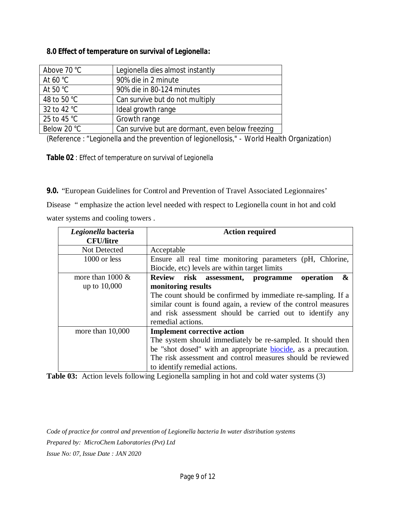### **8.0 Effect of temperature on survival of** *Legionella***:**

| Above 70 °C          | Legionella dies almost instantly                 |
|----------------------|--------------------------------------------------|
| At 60 $^{\circ}$ C   | 90% die in 2 minute                              |
| At 50 $\degree$ C    | 90% die in 80-124 minutes                        |
| 48 to 50 °C          | Can survive but do not multiply                  |
| 32 to 42 °C          | Ideal growth range                               |
| 25 to 45 $\degree$ C | Growth range                                     |
| Below 20 °C          | Can survive but are dormant, even below freezing |

(Reference : "Legionella and the prevention of legionellosis," - World Health Organization)

**Table 02** : Effect of temperature on survival of *Legionella*

**9.0.** "European Guidelines for Control and Prevention of Travel Associated Legionnaires'

Disease " emphasize the action level needed with respect to Legionella count in hot and cold water systems and cooling towers .

| Legionella bacteria<br><b>CFU/litre</b> | <b>Action required</b>                                                |  |  |
|-----------------------------------------|-----------------------------------------------------------------------|--|--|
|                                         |                                                                       |  |  |
| Not Detected                            | Acceptable                                                            |  |  |
| 1000 or less                            | Ensure all real time monitoring parameters (pH, Chlorine,             |  |  |
|                                         | Biocide, etc) levels are within target limits                         |  |  |
| more than $1000 \&$                     | Review risk assessment, programme<br>&<br>operation                   |  |  |
| up to 10,000                            | monitoring results                                                    |  |  |
|                                         | The count should be confirmed by immediate re-sampling. If a          |  |  |
|                                         | similar count is found again, a review of the control measures        |  |  |
|                                         | and risk assessment should be carried out to identify any             |  |  |
|                                         | remedial actions.                                                     |  |  |
|                                         |                                                                       |  |  |
| more than $10,000$                      | <b>Implement corrective action</b>                                    |  |  |
|                                         | The system should immediately be re-sampled. It should then           |  |  |
|                                         | be "shot dosed" with an appropriate <b>biocide</b> , as a precaution. |  |  |
|                                         | The risk assessment and control measures should be reviewed           |  |  |
|                                         | to identify remedial actions.                                         |  |  |

**Table 03:** Action levels following Legionella sampling in hot and cold water systems (3)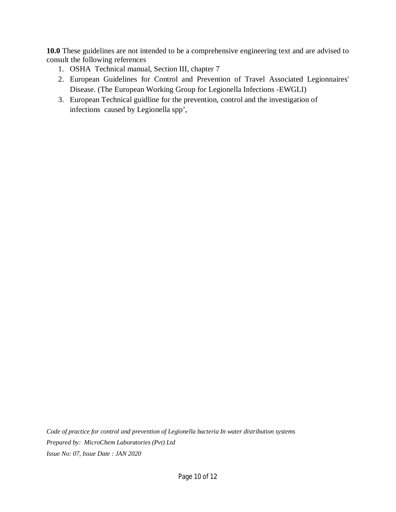**10.0** These guidelines are not intended to be a comprehensive engineering text and are advised to consult the following references

- 1. OSHA Technical manual, Section III, chapter 7
- 2. European Guidelines for Control and Prevention of Travel Associated Legionnaires' Disease. (The European Working Group for Legionella Infections -EWGLI)
- 3. European Technical guidline for the prevention, control and the investigation of infections caused by Legionella spp',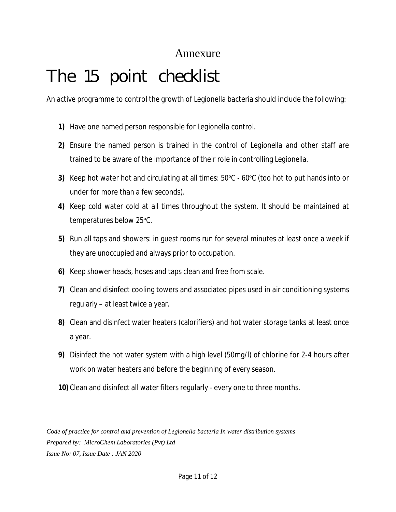# Annexure

# *The 15 point checklist*

An active programme to control the growth of Legionella bacteria should include the following:

- **1)** Have one named person responsible for *Legionella* control.
- **2)** Ensure the named person is trained in the control of *Legionella* and other staff are trained to be aware of the importance of their role in controlling *Legionella*.
- **3)** Keep hot water hot and circulating at all times: 50ºC 60ºC (too hot to put hands into or under for more than a few seconds).
- **4)** Keep cold water cold at all times throughout the system. It should be maintained at temperatures below 25ºC.
- **5)** Run all taps and showers: in guest rooms run for several minutes at least once a week if they are unoccupied and always prior to occupation.
- **6)** Keep shower heads, hoses and taps clean and free from scale.
- **7)** Clean and disinfect cooling towers and associated pipes used in air conditioning systems regularly – at least twice a year.
- **8)** Clean and disinfect water heaters (calorifiers) and hot water storage tanks at least once a year.
- **9)** Disinfect the hot water system with a high level (50mg/l) of chlorine for 2-4 hours after work on water heaters and before the beginning of every season.
- **10)** Clean and disinfect all water filters regularly every one to three months.